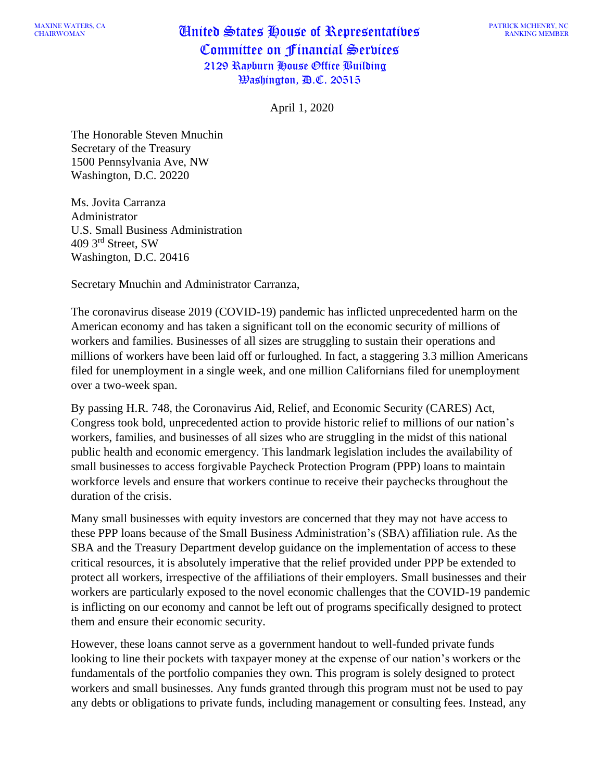## $\frac{MAXINE}{MAEKS}$  values, can also in  $\frac{M}{M}$  and  $\frac{M}{M}$  are  $\frac{M}{M}$  and  $\frac{M}{M}$  are  $\frac{M}{M}$  and  $\frac{M}{M}$  are  $\frac{M}{M}$  and  $\frac{M}{M}$  are  $\frac{M}{M}$  are  $\frac{M}{M}$  and  $\frac{M}{M}$  are  $\frac{M}{M}$  are  $\frac{M}{M}$  and  $\frac{M$ Committee on Financial Services 2129 Rayburn House Office Building Washington, D.C. 20515

April 1, 2020

The Honorable Steven Mnuchin Secretary of the Treasury 1500 Pennsylvania Ave, NW Washington, D.C. 20220

Ms. Jovita Carranza Administrator U.S. Small Business Administration 409 3rd Street, SW Washington, D.C. 20416

Secretary Mnuchin and Administrator Carranza,

The coronavirus disease 2019 (COVID-19) pandemic has inflicted unprecedented harm on the American economy and has taken a significant toll on the economic security of millions of workers and families. Businesses of all sizes are struggling to sustain their operations and millions of workers have been laid off or furloughed. In fact, a staggering 3.3 million Americans filed for unemployment in a single week, and one million Californians filed for unemployment over a two-week span.

By passing H.R. 748, the Coronavirus Aid, Relief, and Economic Security (CARES) Act, Congress took bold, unprecedented action to provide historic relief to millions of our nation's workers, families, and businesses of all sizes who are struggling in the midst of this national public health and economic emergency. This landmark legislation includes the availability of small businesses to access forgivable Paycheck Protection Program (PPP) loans to maintain workforce levels and ensure that workers continue to receive their paychecks throughout the duration of the crisis.

Many small businesses with equity investors are concerned that they may not have access to these PPP loans because of the Small Business Administration's (SBA) affiliation rule. As the SBA and the Treasury Department develop guidance on the implementation of access to these critical resources, it is absolutely imperative that the relief provided under PPP be extended to protect all workers, irrespective of the affiliations of their employers. Small businesses and their workers are particularly exposed to the novel economic challenges that the COVID-19 pandemic is inflicting on our economy and cannot be left out of programs specifically designed to protect them and ensure their economic security.

However, these loans cannot serve as a government handout to well-funded private funds looking to line their pockets with taxpayer money at the expense of our nation's workers or the fundamentals of the portfolio companies they own. This program is solely designed to protect workers and small businesses. Any funds granted through this program must not be used to pay any debts or obligations to private funds, including management or consulting fees. Instead, any